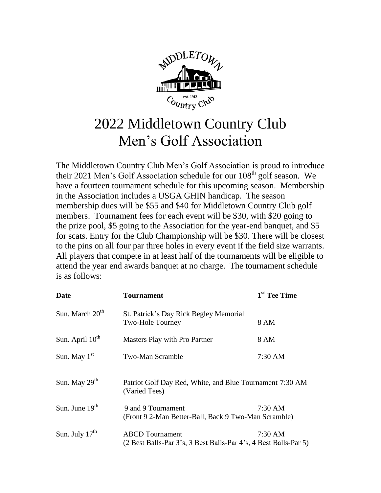

# 2022 Middletown Country Club Men's Golf Association

The Middletown Country Club Men's Golf Association is proud to introduce their 2021 Men's Golf Association schedule for our  $108<sup>th</sup>$  golf season. We have a fourteen tournament schedule for this upcoming season. Membership in the Association includes a USGA GHIN handicap. The season membership dues will be \$55 and \$40 for Middletown Country Club golf members. Tournament fees for each event will be \$30, with \$20 going to the prize pool, \$5 going to the Association for the year-end banquet, and \$5 for scats. Entry for the Club Championship will be \$30. There will be closest to the pins on all four par three holes in every event if the field size warrants. All players that compete in at least half of the tournaments will be eligible to attend the year end awards banquet at no charge. The tournament schedule is as follows:

| <b>Date</b>                 | <b>Tournament</b>                                                                          | 1 <sup>st</sup> Tee Time |
|-----------------------------|--------------------------------------------------------------------------------------------|--------------------------|
| Sun. March 20 <sup>th</sup> | St. Patrick's Day Rick Begley Memorial<br>Two-Hole Tourney                                 | 8 AM                     |
| Sun. April 10 <sup>th</sup> | Masters Play with Pro Partner                                                              | 8 AM                     |
| Sun. May $1st$              | Two-Man Scramble                                                                           | 7:30 AM                  |
| Sun. May $29th$             | Patriot Golf Day Red, White, and Blue Tournament 7:30 AM<br>(Varied Tees)                  |                          |
| Sun. June $19th$            | 9 and 9 Tournament<br>(Front 9 2-Man Better-Ball, Back 9 Two-Man Scramble)                 | $7:30 \text{ AM}$        |
| Sun. July $17th$            | <b>ABCD</b> Tournament<br>(2 Best Balls-Par 3's, 3 Best Balls-Par 4's, 4 Best Balls-Par 5) | $7:30$ AM                |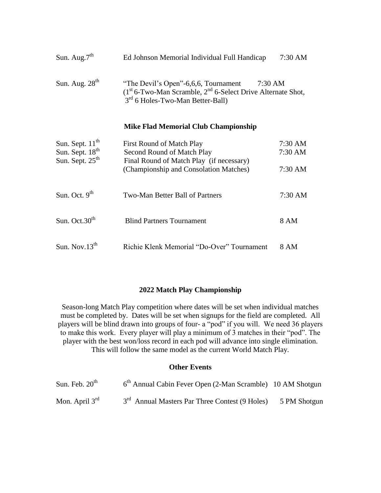| Sun. Aug. $7th$  | Ed Johnson Memorial Individual Full Handicap                                                                                                             | 7:30 AM |
|------------------|----------------------------------------------------------------------------------------------------------------------------------------------------------|---------|
| Sun. Aug. $28th$ | "The Devil's Open"-6,6,6, Tournament<br>$(1st 6-Two-Man Scramble, 2nd 6-Select Drive Alternative Short,$<br>3 <sup>rd</sup> 6 Holes-Two-Man Better-Ball) | 7:30 AM |

#### **Mike Flad Memorial Club Championship**

| Sun. Sept. $11th$<br>Sun. Sept. 18 <sup>th</sup><br>Sun. Sept. 25 <sup>th</sup> | First Round of Match Play<br>Second Round of Match Play<br>Final Round of Match Play (if necessary) | $7:30 \text{ AM}$<br>$7:30 \text{ AM}$ |
|---------------------------------------------------------------------------------|-----------------------------------------------------------------------------------------------------|----------------------------------------|
|                                                                                 | (Championship and Consolation Matches)                                                              | $7:30$ AM                              |
| Sun. Oct. $9th$                                                                 | Two-Man Better Ball of Partners                                                                     | $7:30 \text{ AM}$                      |
| Sun. Oct. $30th$                                                                | <b>Blind Partners Tournament</b>                                                                    | 8 AM                                   |
| Sun. Nov. $13th$                                                                | Richie Klenk Memorial "Do-Over" Tournament                                                          | 8 AM                                   |

#### **2022 Match Play Championship**

Season-long Match Play competition where dates will be set when individual matches must be completed by. Dates will be set when signups for the field are completed. All players will be blind drawn into groups of four- a "pod" if you will. We need 36 players to make this work. Every player will play a minimum of 3 matches in their "pod". The player with the best won/loss record in each pod will advance into single elimination. This will follow the same model as the current World Match Play.

### **Other Events**

| Sun. Feb. $20th$ | 6 <sup>th</sup> Annual Cabin Fever Open (2-Man Scramble) 10 AM Shotgun |              |
|------------------|------------------------------------------------------------------------|--------------|
| Mon. April $3rd$ | 3 <sup>rd</sup> Annual Masters Par Three Contest (9 Holes)             | 5 PM Shotgun |